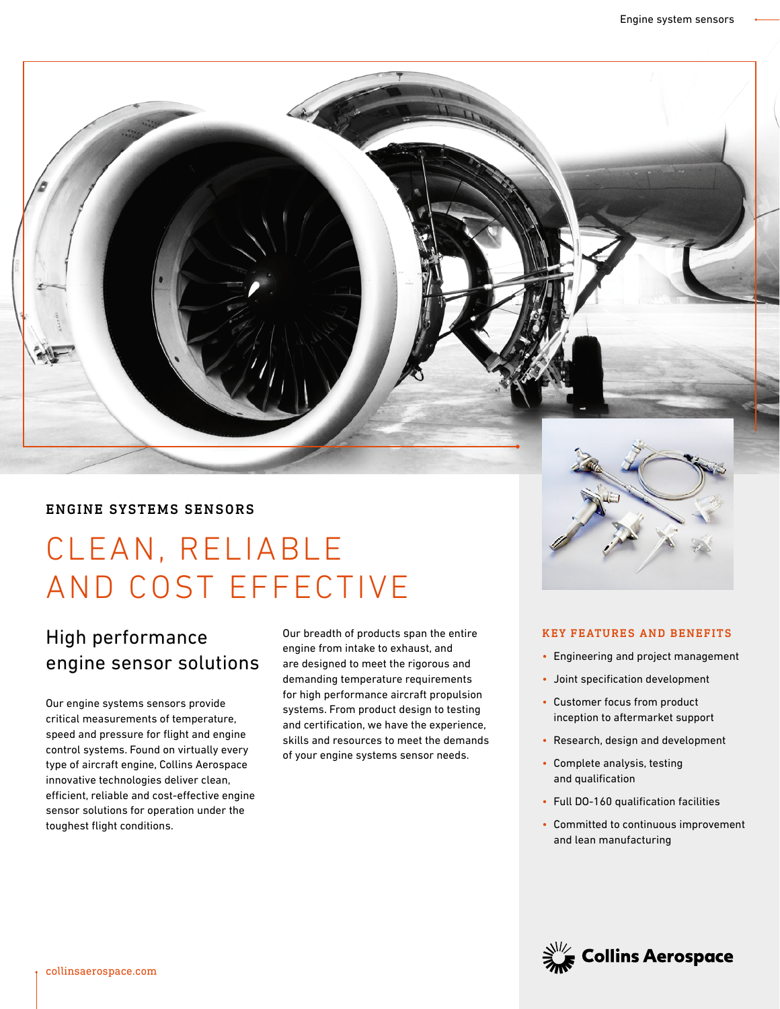## ENGINE SYSTEMS SENSORS

# CLEAN, RELIABLE AND COST EFFECTIVE

# High performance engine sensor solutions

Our engine systems sensors provide critical measurements of temperature, speed and pressure for flight and engine control systems. Found on virtually every type of aircraft engine, Collins Aerospace innovative technologies deliver clean, efficient, reliable and cost-effective engine sensor solutions for operation under the toughest flight conditions.

Our breadth of products span the entire engine from intake to exhaust, and are designed to meet the rigorous and demanding temperature requirements for high performance aircraft propulsion systems. From product design to testing and certification, we have the experience, skills and resources to meet the demands of your engine systems sensor needs.

#### KEY FEATURES AND BENEFITS

- Engineering and project management
- Joint specification development
- Customer focus from product inception to aftermarket support
- Research, design and development
- Complete analysis, testing and qualification
- Full DO-160 qualification facilities
- Committed to continuous improvement and lean manufacturing